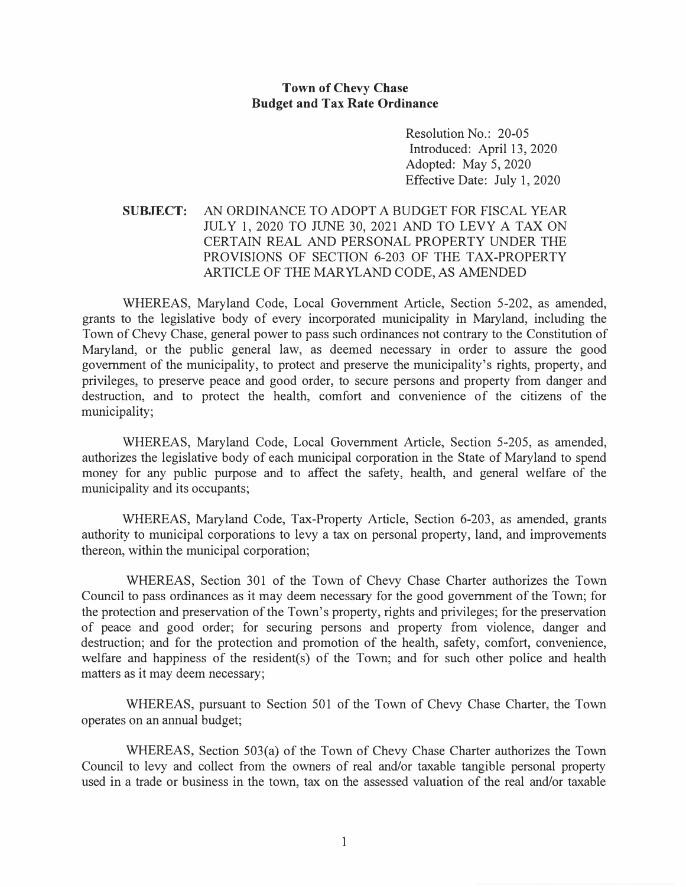## **Town of Chevy Chase Budget and Tax Rate Ordinance**

Resolution No.: 20-05 Introduced: April 13, 2020 Adopted: May 5, 2020 Effective Date: July 1, 2020

## **SUBJECT:** AN ORDINANCE TO ADOPT A BUDGET FOR FISCAL YEAR JULY 1, 2020 TO JUNE 30, 2021 AND TO LEVY A TAX ON CERTAIN REAL AND PERSONAL PROPERTY UNDER THE PROVISIONS OF SECTION 6-203 OF THE TAX-PROPERTY ARTICLE OF THE MARYLAND CODE, AS AMENDED

WHEREAS, Maryland Code, Local Government Article, Section 5-202, as amended, grants to the legislative body of every incorporated municipality in Maryland, including the Town of Chevy Chase, general power to pass such ordinances not contrary to the Constitution of Maryland, or the public general law, as deemed necessary in order to assure the good government of the municipality, to protect and preserve the municipality's rights, property, and privileges, to preserve peace and good order, to secure persons and property from danger and destruction, and to protect the health, comfort and convenience of the citizens of the municipality;

WHEREAS, Maryland Code, Local Government Article, Section 5-205, as amended, authorizes the legislative body of each municipal corporation in the State of Maryland to spend money for any public purpose and to affect the safety, health, and general welfare of the municipality and its occupants;

WHEREAS, Maryland Code, Tax-Property Article, Section 6-203, as amended, grants authority to municipal corporations to levy a tax on personal property, land, and improvements thereon, within the municipal corporation;

WHEREAS, Section 301 of the Town of Chevy Chase Charter authorizes the Town Council to pass ordinances as it may deem necessary for the good government of the Town; for the protection and preservation of the Town's property, rights and privileges; for the preservation of peace and good order; for securing persons and property from violence, danger and destruction; and for the protection and promotion of the health, safety, comfort, convenience, welfare and happiness of the resident(s) of the Town; and for such other police and health matters as it may deem necessary;

WHEREAS, pursuant to Section 501 of the Town of Chevy Chase Charter, the Town operates on an annual budget;

WHEREAS, Section 503(a) of the Town of Chevy Chase Charter authorizes the Town Council to levy and collect from the owners of real and/or taxable tangible personal property used in a trade or business in the town, tax on the assessed valuation of the real and/or taxable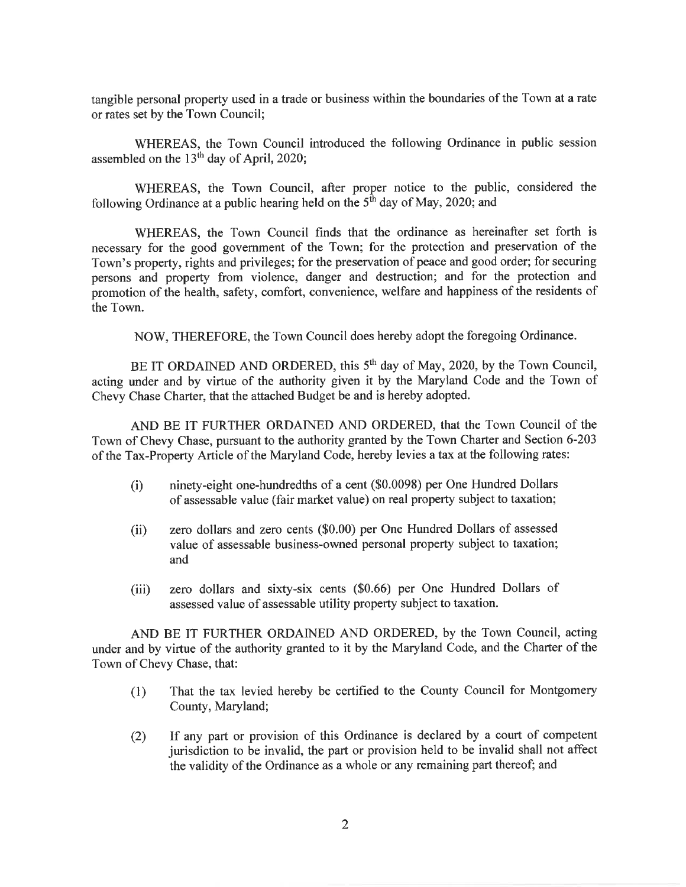tangible personal property used in a trade or business within the boundaries of the Town at a rate or rates set by the Town Council;

WHEREAS, the Town Council introduced the following Ordinance in public session assembled on the  $13<sup>th</sup>$  day of April, 2020;

WHEREAS, the Town Council, after proper notice to the public, considered the following Ordinance at a public hearing held on the  $5<sup>th</sup>$  day of May, 2020; and

WHEREAS, the Town Council finds that the ordinance as hereinafter set forth is necessary for the good government of the Town; for the protection and preservation of the Town's property, rights and privileges; for the preservation of peace and good order; for securing persons and property from violence, danger and destruction; and for the protection and promotion of the health, safety, comfort, convenience, welfare and happiness of the residents of the Town.

NOW, THEREFORE, the Town Council does hereby adopt the foregoing Ordinance.

BE IT ORDAINED AND ORDERED, this 5<sup>th</sup> day of May, 2020, by the Town Council, acting under and by virtue of the authority given it by the Maryland Code and the Town of Chevy Chase Charter, that the attached Budget be and is hereby adopted.

AND BE IT FURTHER ORDAINED AND ORDERED, that the Town Council of the Town of Chevy Chase, pursuant to the authority granted by the Town Charter and Section 6-203 of the Tax-Property Article of the Maryland Code, hereby levies a tax at the following rates:

- ninety-eight one-hundredths of a cent (\$0.0098) per One Hundred Dollars  $(i)$ of assessable value (fair market value) on real property subject to taxation;
- zero dollars and zero cents (\$0.00) per One Hundred Dollars of assessed  $(ii)$ value of assessable business-owned personal property subject to taxation; and
- zero dollars and sixty-six cents (\$0.66) per One Hundred Dollars of  $(iii)$ assessed value of assessable utility property subject to taxation.

AND BE IT FURTHER ORDAINED AND ORDERED, by the Town Council, acting under and by virtue of the authority granted to it by the Maryland Code, and the Charter of the Town of Chevy Chase, that:

- That the tax levied hereby be certified to the County Council for Montgomery  $(1)$ County, Maryland;
- If any part or provision of this Ordinance is declared by a court of competent  $(2)$ jurisdiction to be invalid, the part or provision held to be invalid shall not affect the validity of the Ordinance as a whole or any remaining part thereof; and